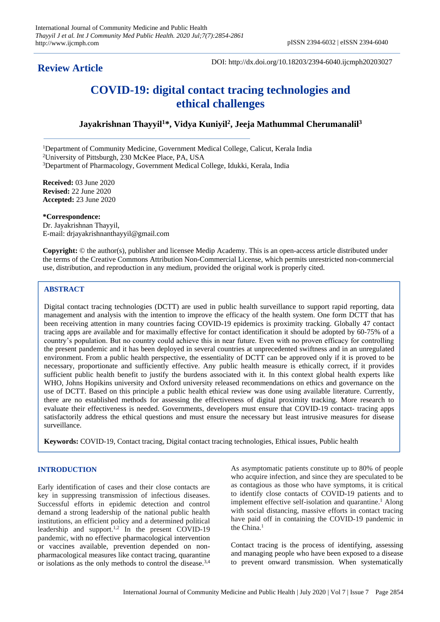## **Review Article**

DOI: http://dx.doi.org/10.18203/2394-6040.ijcmph20203027

# **COVID-19: digital contact tracing technologies and ethical challenges**

## **Jayakrishnan Thayyil<sup>1</sup>\*, Vidya Kuniyil<sup>2</sup> , Jeeja Mathummal Cherumanalil<sup>3</sup>**

<sup>1</sup>Department of Community Medicine, Government Medical College, Calicut, Kerala India

<sup>2</sup>University of Pittsburgh, 230 McKee Place, PA, USA

<sup>3</sup>Department of Pharmacology, Government Medical College, Idukki, Kerala, India

**Received:** 03 June 2020 **Revised:** 22 June 2020 **Accepted:** 23 June 2020

**\*Correspondence:** Dr. Jayakrishnan Thayyil, E-mail: drjayakrishnanthayyil@gmail.com

**Copyright:** © the author(s), publisher and licensee Medip Academy. This is an open-access article distributed under the terms of the Creative Commons Attribution Non-Commercial License, which permits unrestricted non-commercial use, distribution, and reproduction in any medium, provided the original work is properly cited.

## **ABSTRACT**

Digital contact tracing technologies (DCTT) are used in public health surveillance to support rapid reporting, data management and analysis with the intention to improve the efficacy of the health system. One form DCTT that has been receiving attention in many countries facing COVID-19 epidemics is proximity tracking. Globally 47 contact tracing apps are available and for maximally effective for contact identification it should be adopted by 60-75% of a country's population. But no country could achieve this in near future. Even with no proven efficacy for controlling the present pandemic and it has been deployed in several countries at unprecedented swiftness and in an unregulated environment. From a public health perspective, the essentiality of DCTT can be approved only if it is proved to be necessary, proportionate and sufficiently effective. Any public health measure is ethically correct, if it provides sufficient public health benefit to justify the burdens associated with it. In this context global health experts like WHO, Johns Hopikins university and Oxford university released recommendations on ethics and governance on the use of DCTT. Based on this principle a public health ethical review was done using available literature. Currently, there are no established methods for assessing the effectiveness of digital proximity tracking. More research to evaluate their effectiveness is needed. Governments, developers must ensure that COVID-19 contact- tracing apps satisfactorily address the ethical questions and must ensure the necessary but least intrusive measures for disease surveillance.

**Keywords:** COVID-19, Contact tracing, Digital contact tracing technologies, Ethical issues, Public health

## **INTRODUCTION**

Early identification of cases and their close contacts are key in suppressing transmission of infectious diseases. Successful efforts in epidemic detection and control demand a strong leadership of the national public health institutions, an efficient policy and a determined political leadership and support.<sup>1,2</sup> In the present COVID-19 pandemic, with no effective pharmacological intervention or vaccines available, prevention depended on nonpharmacological measures like contact tracing, quarantine or isolations as the only methods to control the disease.3,4

As asymptomatic patients constitute up to 80% of people who acquire infection, and since they are speculated to be as contagious as those who have symptoms, it is critical to identify close contacts of COVID-19 patients and to implement effective self-isolation and quarantine.<sup>1</sup> Along with social distancing, massive efforts in contact tracing have paid off in containing the COVID-19 pandemic in the China.<sup>1</sup>

Contact tracing is the process of identifying, assessing and managing people who have been exposed to a disease to prevent onward transmission. When systematically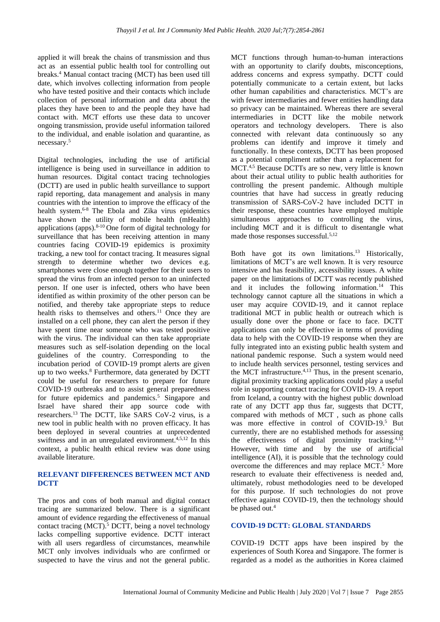applied it will break the chains of transmission and thus act as an essential public health tool for controlling out breaks.<sup>4</sup> Manual contact tracing (MCT) has been used till date, which involves collecting information from people who have tested positive and their contacts which include collection of personal information and data about the places they have been to and the people they have had contact with. MCT efforts use these data to uncover ongoing transmission, provide useful information tailored to the individual, and enable isolation and quarantine, as necessary.<sup>5</sup>

Digital technologies, including the use of artificial intelligence is being used in surveillance in addition to human resources. Digital contact tracing technologies (DCTT) are used in public health surveillance to support rapid reporting, data management and analysis in many countries with the intention to improve the efficacy of the health system.6-8 The Ebola and Zika virus epidemics have shown the utility of mobile health (mHealth) applications (apps).8-10 One form of digital technology for surveillance that has been receiving attention in many countries facing COVID-19 epidemics is proximity tracking, a new tool for contact tracing. It measures signal strength to determine whether two devices e.g. smartphones were close enough together for their users to spread the virus from an infected person to an uninfected person. If one user is infected, others who have been identified as within proximity of the other person can be notified, and thereby take appropriate steps to reduce health risks to themselves and others.<sup>11</sup> Once they are installed on a cell phone, they can alert the person if they have spent time near someone who was tested positive with the virus. The individual can then take appropriate measures such as self-isolation depending on the local guidelines of the country. Corresponding to the incubation period of COVID-19 prompt alerts are given up to two weeks.<sup>8</sup> Furthermore, data generated by DCTT could be useful for researchers to prepare for future COVID-19 outbreaks and to assist general preparedness for future epidemics and pandemics.<sup>5</sup> Singapore and Israel have shared their app source code with researchers.<sup>13</sup>The DCTT, like SARS CoV-2 virus, is a new tool in public health with no proven efficacy. It has been deployed in several countries at unprecedented swiftness and in an unregulated environment.<sup>4,5,12</sup> In this context, a public health ethical review was done using available literature.

## **RELEVANT DIFFERENCES BETWEEN MCT AND DCTT**

The pros and cons of both manual and digital contact tracing are summarized below. There is a significant amount of evidence regarding the effectiveness of manual contact tracing (MCT).<sup>5</sup> DCTT, being a novel technology lacks compelling supportive evidence. DCTT interact with all users regardless of circumstances, meanwhile MCT only involves individuals who are confirmed or suspected to have the virus and not the general public.

MCT functions through human-to-human interactions with an opportunity to clarify doubts, misconceptions, address concerns and express sympathy. DCTT could potentially communicate to a certain extent, but lacks other human capabilities and characteristics. MCT's are with fewer intermediaries and fewer entities handling data so privacy can be maintained. Whereas there are several intermediaries in DCTT like the mobile network operators and technology developers. There is also connected with relevant data continuously so any problems can identify and improve it timely and functionally. In these contexts, DCTT has been proposed as a potential compliment rather than a replacement for MCT.4,5 Because DCTTs are so new, very little is known about their actual utility to public health authorities for controlling the present pandemic. Although multiple countries that have had success in greatly reducing transmission of SARS-CoV-2 have included DCTT in their response, these countries have employed multiple simultaneous approaches to controlling the virus, including MCT and it is difficult to disentangle what made those responses successful.<sup>5,12</sup>

Both have got its own limitations.<sup>13</sup> Historically, limitations of MCT's are well known. It is very resource intensive and has feasibility, accessibility issues. A white paper on the limitations of DCTT was recently published and it includes the following information.<sup>14</sup> This technology cannot capture all the situations in which a user may acquire COVID-19, and it cannot replace traditional MCT in public health or outreach which is usually done over the phone or face to face. DCTT applications can only be effective in terms of providing data to help with the COVID-19 response when they are fully integrated into an existing public health system and national pandemic response. Such a system would need to include health services personnel, testing services and the MCT infrastructure.4,13 Thus, in the present scenario, digital proximity tracking applications could play a useful role in supporting contact tracing for COVID-19. A report from Iceland, a country with the highest public download rate of any DCTT app thus far, suggests that DCTT, compared with methods of MCT , such as phone calls was more effective in control of COVID-19.<sup>5</sup> But currently, there are no established methods for assessing the effectiveness of digital proximity tracking. $4,13$ However, with time and by the use of artificial intelligence (AI), it is possible that the technology could overcome the differences and may replace MCT.<sup>5</sup> More research to evaluate their effectiveness is needed and, ultimately, robust methodologies need to be developed for this purpose. If such technologies do not prove effective against COVID-19, then the technology should be phased out.<sup>4</sup>

## **COVID-19 DCTT: GLOBAL STANDARDS**

COVID-19 DCTT apps have been inspired by the experiences of South Korea and Singapore. The former is regarded as a model as the authorities in Korea claimed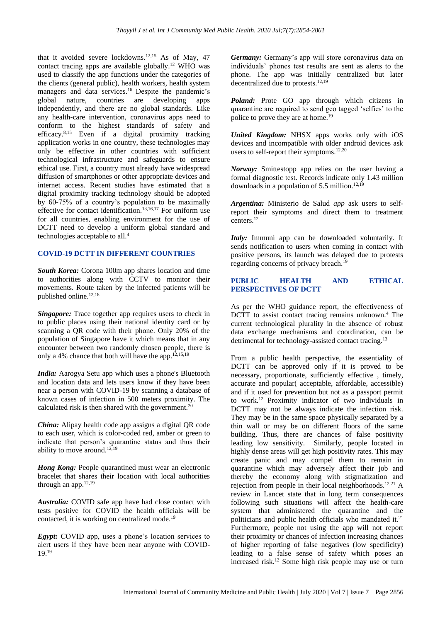that it avoided severe lockdowns.12,15 As of May, 47 contact tracing apps are available globally.<sup>12</sup> WHO was used to classify the app functions under the categories of the clients (general public), health workers, health system managers and data services.<sup>16</sup> Despite the pandemic's global nature, countries are developing apps independently, and there are no global standards. Like any health-care intervention, coronavirus apps need to conform to the highest standards of safety and efficacy. $8,15$  Even if a digital proximity tracking application works in one country, these technologies may only be effective in other countries with sufficient technological infrastructure and safeguards to ensure ethical use. First, a country must already have widespread diffusion of smartphones or other appropriate devices and internet access. Recent studies have estimated that a digital proximity tracking technology should be adopted by 60-75% of a country's population to be maximally effective for contact identification.13,16,17 For uniform use for all countries, enabling environment for the use of DCTT need to develop a uniform global standard and technologies acceptable to all.<sup>4</sup>

#### **COVID-19 DCTT IN DIFFERENT COUNTRIES**

*South Korea:* Corona 100m app shares location and time to authorities along with CCTV to monitor their movements. Route taken by the infected patients will be published online.<sup>12,18</sup>

*Singapore:* Trace together app requires users to check in to public places using their national identity card or by scanning a QR code with their phone. Only 20% of the population of Singapore have it which means that in any encounter between two randomly chosen people, there is only a 4% chance that both will have the app.<sup>12,15,19</sup>

*India:* Aarogya Setu app which uses a phone's Bluetooth and location data and lets users know if they have been near a person with COVID-19 by scanning a database of known cases of infection in 500 meters proximity. The calculated risk is then shared with the government. $20$ 

*China:* Alipay health code app assigns a digital QR code to each user, which is color-coded red, amber or green to indicate that person's quarantine status and thus their ability to move around. $12,19$ 

*Hong Kong:* People quarantined must wear an electronic bracelet that shares their location with local authorities through an app. $12,19$ 

*Australia:* COVID safe app have had close contact with tests positive for COVID the health officials will be contacted, it is working on centralized mode.<sup>19</sup>

*Egypt:* COVID app, uses a phone's location services to alert users if they have been near anyone with COVID-19.<sup>19</sup>

*Germany:* Germany's app will store coronavirus data on individuals' phones test results are sent as alerts to the phone. The app was initially centralized but later decentralized due to protests.<sup>12,19</sup>

*Poland:* Prote GO app through which citizens in quarantine are required to send geo tagged 'selfies' to the police to prove they are at home.<sup>19</sup>

*United Kingdom:* NHSX apps works only with iOS devices and incompatible with older android devices ask users to self-report their symptoms. $12,20$ 

*Norway:* Smittestopp app relies on the user having a formal diagnostic test. Records indicate only 1.43 million downloads in a population of  $5.5$  million.<sup>12,19</sup>

*Argentina:* Ministerio de Salud *app* ask users to selfreport their symptoms and direct them to treatment centers.<sup>12</sup>

*Italy:* Immuni app can be downloaded voluntarily. It sends notification to users when coming in contact with positive persons, its launch was delayed due to protests regarding concerns of privacy breach.<sup>19</sup>

## **PUBLIC HEALTH AND ETHICAL PERSPECTIVES OF DCTT**

As per the WHO guidance report, the effectiveness of DCTT to assist contact tracing remains unknown.<sup>4</sup> The current technological plurality in the absence of robust data exchange mechanisms and coordination, can be detrimental for technology-assisted contact tracing.<sup>13</sup>

From a public health perspective, the essentiality of DCTT can be approved only if it is proved to be necessary, proportionate, sufficiently effective , timely, accurate and popular( acceptable, affordable, accessible) and if it used for prevention but not as a passport permit to work.<sup>12</sup> Proximity indicator of two individuals in DCTT may not be always indicate the infection risk. They may be in the same space physically separated by a thin wall or may be on different floors of the same building. Thus, there are chances of false positivity leading low sensitivity. Similarly, people located in highly dense areas will get high positivity rates. This may create panic and may compel them to remain in quarantine which may adversely affect their job and thereby the economy along with stigmatization and rejection from people in their local neighborhoods.<sup>12,21</sup> A review in Lancet state that in long term consequences following such situations will affect the health-care system that administered the quarantine and the politicians and public health officials who mandated it.<sup>21</sup> Furthermore, people not using the app will not report their proximity or chances of infection increasing chances of higher reporting of false negatives (low specificity) leading to a false sense of safety which poses an increased risk.<sup>12</sup> Some high risk people may use or turn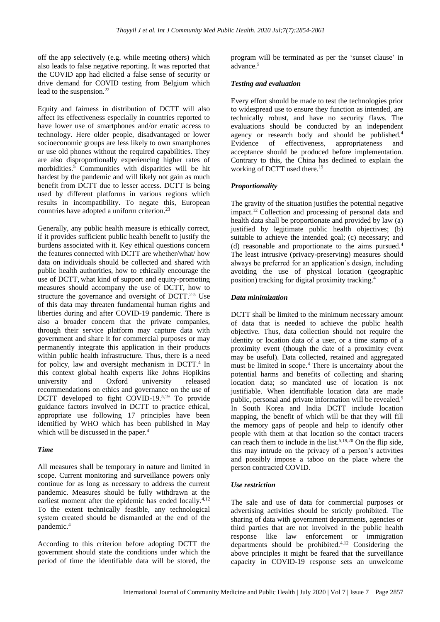off the app selectively (e.g. while meeting others) which also leads to false negative reporting. It was reported that the COVID app had elicited a false sense of security or drive demand for COVID testing from Belgium which lead to the suspension.<sup>22</sup>

Equity and fairness in distribution of DCTT will also affect its effectiveness especially in countries reported to have lower use of smartphones and/or erratic access to technology. Here older people, disadvantaged or lower socioeconomic groups are less likely to own smartphones or use old phones without the required capabilities. They are also disproportionally experiencing higher rates of morbidities.<sup>5</sup> Communities with disparities will be hit hardest by the pandemic and will likely not gain as much benefit from DCTT due to lesser access. DCTT is being used by different platforms in various regions which results in incompatibility. To negate this, European countries have adopted a uniform criterion.<sup>23</sup>

Generally, any public health measure is ethically correct, if it provides sufficient public health benefit to justify the burdens associated with it. Key ethical questions concern the features connected with DCTT are whether/what/ how data on individuals should be collected and shared with public health authorities, how to ethically encourage the use of DCTT, what kind of support and equity-promoting measures should accompany the use of DCTT, how to structure the governance and oversight of  $DCTT$ <sup>2-5</sup> Use of this data may threaten fundamental human rights and liberties during and after COVID-19 pandemic. There is also a broader concern that the private companies, through their service platform may capture data with government and share it for commercial purposes or may permanently integrate this application in their products within public health infrastructure. Thus, there is a need for policy, law and oversight mechanism in DCTT.<sup>4</sup> In this context global health experts like Johns Hopikins university and Oxford university released recommendations on ethics and governance on the use of DCTT developed to fight COVID-19.<sup>5,19</sup> To provide guidance factors involved in DCTT to practice ethical, appropriate use following 17 principles have been identified by WHO which has been published in May which will be discussed in the paper. $4$ 

#### *Time*

All measures shall be temporary in nature and limited in scope. Current monitoring and surveillance powers only continue for as long as necessary to address the current pandemic. Measures should be fully withdrawn at the earliest moment after the epidemic has ended locally. $4,12$ To the extent technically feasible, any technological system created should be dismantled at the end of the pandemic.<sup>4</sup>

According to this criterion before adopting DCTT the government should state the conditions under which the period of time the identifiable data will be stored, the

program will be terminated as per the 'sunset clause' in advance.<sup>5</sup>

#### *Testing and evaluation*

Every effort should be made to test the technologies prior to widespread use to ensure they function as intended, are technically robust, and have no security flaws. The evaluations should be conducted by an independent agency or research body and should be published.<sup>4</sup> Evidence of effectiveness, appropriateness and acceptance should be produced before implementation. Contrary to this, the China has declined to explain the working of DCTT used there.<sup>19</sup>

#### *Proportionality*

The gravity of the situation justifies the potential negative impact.<sup>12</sup> Collection and processing of personal data and health data shall be proportionate and provided by law (a) justified by legitimate public health objectives; (b) suitable to achieve the intended goal; (c) necessary; and (d) reasonable and proportionate to the aims pursued.<sup>4</sup> The least intrusive (privacy-preserving) measures should always be preferred for an application's design, including avoiding the use of physical location (geographic position) tracking for digital proximity tracking.<sup>4</sup>

#### *Data minimization*

DCTT shall be limited to the minimum necessary amount of data that is needed to achieve the public health objective. Thus, data collection should not require the identity or location data of a user, or a time stamp of a proximity event (though the date of a proximity event may be useful). Data collected, retained and aggregated must be limited in scope.<sup>4</sup> There is uncertainty about the potential harms and benefits of collecting and sharing location data; so mandated use of location is not justifiable. When identifiable location data are made public, personal and private information will be revealed.<sup>5</sup> In South Korea and India DCTT include location mapping, the benefit of which will be that they will fill the memory gaps of people and help to identify other people with them at that location so the contact tracers can reach them to include in the list.<sup>5,19,20</sup> On the flip side, this may intrude on the privacy of a person's activities and possibly impose a taboo on the place where the person contracted COVID.

#### *Use restriction*

The sale and use of data for commercial purposes or advertising activities should be strictly prohibited. The sharing of data with government departments, agencies or third parties that are not involved in the public health response like law enforcement or immigration departments should be prohibited.4,12 Considering the above principles it might be feared that the surveillance capacity in COVID-19 response sets an unwelcome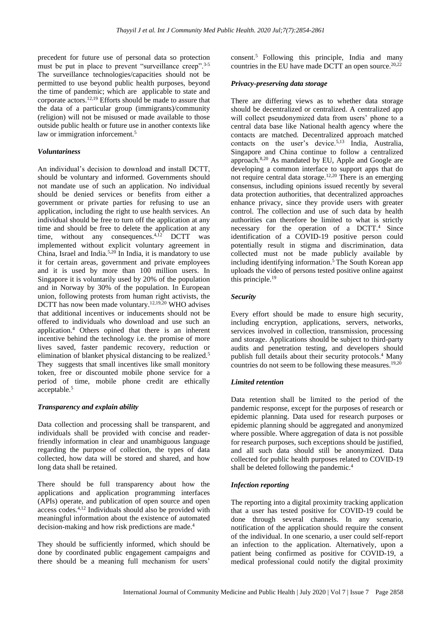precedent for future use of personal data so protection must be put in place to prevent "surveillance creep".<sup>3-5</sup> The surveillance technologies/capacities should not be permitted to use beyond public health purposes, beyond the time of pandemic; which are applicable to state and corporate actors.12,19 Efforts should be made to assure that the data of a particular group (immigrants)/community (religion) will not be misused or made available to those outside public health or future use in another contexts like law or immigration inforcement.<sup>5</sup>

#### *Voluntariness*

An individual's decision to download and install DCTT, should be voluntary and informed. Governments should not mandate use of such an application. No individual should be denied services or benefits from either a government or private parties for refusing to use an application, including the right to use health services. An individual should be free to turn off the application at any time and should be free to delete the application at any time, without any consequences.<sup>4,12</sup> DCTT was implemented without explicit voluntary agreement in China, Israel and India.5,20 In India, it is mandatory to use it for certain areas, government and private employees and it is used by more than 100 million users. In Singapore it is voluntarily used by 20% of the population and in Norway by 30% of the population. In European union, following protests from human right activists, the DCTT has now been made voluntary.<sup>12,19,20</sup> WHO advises that additional incentives or inducements should not be offered to individuals who download and use such an application.<sup>4</sup> Others opined that there is an inherent incentive behind the technology i.e. the promise of more lives saved, faster pandemic recovery, reduction or elimination of blanket physical distancing to be realized.<sup>5</sup> They suggests that small incentives like small monitory token, free or discounted mobile phone service for a period of time, mobile phone credit are ethically acceptable.<sup>5</sup>

#### *Transparency and explain ability*

Data collection and processing shall be transparent, and individuals shall be provided with concise and readerfriendly information in clear and unambiguous language regarding the purpose of collection, the types of data collected, how data will be stored and shared, and how long data shall be retained.

There should be full transparency about how the applications and application programming interfaces (APIs) operate, and publication of open source and open access codes.4,12 Individuals should also be provided with meaningful information about the existence of automated decision-making and how risk predictions are made.<sup>4</sup>

They should be sufficiently informed, which should be done by coordinated public engagement campaigns and there should be a meaning full mechanism for users' consent.<sup>5</sup> Following this principle, India and many countries in the EU have made DCTT an open source.<sup>20,22</sup>

#### *Privacy-preserving data storage*

There are differing views as to whether data storage should be decentralized or centralized. A centralized app will collect pseudonymized data from users' phone to a central data base like National health agency where the contacts are matched. Decentralized approach matched contacts on the user's device.5,13 India, Australia, Singapore and China continue to follow a centralized approach.8,20 As mandated by EU, Apple and Google are developing a common interface to support apps that do not require central data storage.<sup>12,20</sup> There is an emerging consensus, including opinions issued recently by several data protection authorities, that decentralized approaches enhance privacy, since they provide users with greater control. The collection and use of such data by health authorities can therefore be limited to what is strictly necessary for the operation of a DCTT.<sup>4</sup> Since identification of a COVID-19 positive person could potentially result in stigma and discrimination, data collected must not be made publicly available by including identifying information.<sup>5</sup>The South Korean app uploads the video of persons tested positive online against this principle.<sup>19</sup>

#### *Security*

Every effort should be made to ensure high security, including encryption, applications, servers, networks, services involved in collection, transmission, processing and storage. Applications should be subject to third-party audits and penetration testing, and developers should publish full details about their security protocols.<sup>4</sup> Many countries do not seem to be following these measures.<sup>19,20</sup>

#### *Limited retention*

Data retention shall be limited to the period of the pandemic response, except for the purposes of research or epidemic planning. Data used for research purposes or epidemic planning should be aggregated and anonymized where possible. Where aggregation of data is not possible for research purposes, such exceptions should be justified, and all such data should still be anonymized. Data collected for public health purposes related to COVID-19 shall be deleted following the pandemic.<sup>4</sup>

#### *Infection reporting*

The reporting into a digital proximity tracking application that a user has tested positive for COVID-19 could be done through several channels. In any scenario, notification of the application should require the consent of the individual. In one scenario, a user could self-report an infection to the application. Alternatively, upon a patient being confirmed as positive for COVID-19, a medical professional could notify the digital proximity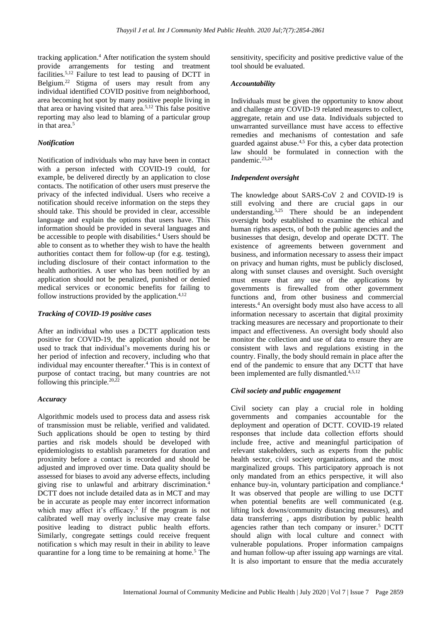tracking application.<sup>4</sup> After notification the system should provide arrangements for testing and treatment facilities.5,12 Failure to test lead to pausing of DCTT in Belgium.<sup>22</sup> Stigma of users may result from any individual identified COVID positive from neighborhood, area becoming hot spot by many positive people living in that area or having visited that area.5,12 This false positive reporting may also lead to blaming of a particular group in that area.<sup>5</sup>

#### *Notification*

Notification of individuals who may have been in contact with a person infected with COVID-19 could, for example, be delivered directly by an application to close contacts. The notification of other users must preserve the privacy of the infected individual. Users who receive a notification should receive information on the steps they should take. This should be provided in clear, accessible language and explain the options that users have. This information should be provided in several languages and be accessible to people with disabilities.<sup>4</sup> Users should be able to consent as to whether they wish to have the health authorities contact them for follow-up (for e.g. testing), including disclosure of their contact information to the health authorities. A user who has been notified by an application should not be penalized, punished or denied medical services or economic benefits for failing to follow instructions provided by the application.<sup>4,12</sup>

#### *Tracking of COVID-19 positive cases*

After an individual who uses a DCTT application tests positive for COVID-19, the application should not be used to track that individual's movements during his or her period of infection and recovery, including who that individual may encounter thereafter.<sup>4</sup> This is in context of purpose of contact tracing, but many countries are not following this principle.  $20,22$ 

#### *Accuracy*

Algorithmic models used to process data and assess risk of transmission must be reliable, verified and validated. Such applications should be open to testing by third parties and risk models should be developed with epidemiologists to establish parameters for duration and proximity before a contact is recorded and should be adjusted and improved over time. Data quality should be assessed for biases to avoid any adverse effects, including giving rise to unlawful and arbitrary discrimination.<sup>4</sup> DCTT does not include detailed data as in MCT and may be in accurate as people may enter incorrect information which may affect it's efficacy.<sup>5</sup> If the program is not calibrated well may overly inclusive may create false positive leading to distract public health efforts. Similarly, congregate settings could receive frequent notification s which may result in their in ability to leave quarantine for a long time to be remaining at home.<sup>5</sup> The

sensitivity, specificity and positive predictive value of the tool should be evaluated.

#### *Accountability*

Individuals must be given the opportunity to know about and challenge any COVID-19 related measures to collect, aggregate, retain and use data. Individuals subjected to unwarranted surveillance must have access to effective remedies and mechanisms of contestation and safe guarded against abuse.4,5 For this, a cyber data protection law should be formulated in connection with the pandemic.<sup>23,24</sup>

#### *Independent oversight*

The knowledge about SARS-CoV 2 and COVID-19 is still evolving and there are crucial gaps in our understanding.5,25 There should be an independent oversight body established to examine the ethical and human rights aspects, of both the public agencies and the businesses that design, develop and operate DCTT. The existence of agreements between government and business, and information necessary to assess their impact on privacy and human rights, must be publicly disclosed, along with sunset clauses and oversight. Such oversight must ensure that any use of the applications by governments is firewalled from other government functions and, from other business and commercial interests.<sup>4</sup>An oversight body must also have access to all information necessary to ascertain that digital proximity tracking measures are necessary and proportionate to their impact and effectiveness. An oversight body should also monitor the collection and use of data to ensure they are consistent with laws and regulations existing in the country. Finally, the body should remain in place after the end of the pandemic to ensure that any DCTT that have been implemented are fully dismantled.4,5,12

#### *Civil society and public engagement*

Civil society can play a crucial role in holding governments and companies accountable for the deployment and operation of DCTT. COVID-19 related responses that include data collection efforts should include free, active and meaningful participation of relevant stakeholders, such as experts from the public health sector, civil society organizations, and the most marginalized groups. This participatory approach is not only mandated from an ethics perspective, it will also enhance buy-in, voluntary participation and compliance.<sup>4</sup> It was observed that people are willing to use DCTT when potential benefits are well communicated (e.g. lifting lock downs/community distancing measures), and data transferring , apps distribution by public health agencies rather than tech company or insurer.<sup>5</sup> DCTT should align with local culture and connect with vulnerable populations. Proper information campaigns and human follow-up after issuing app warnings are vital. It is also important to ensure that the media accurately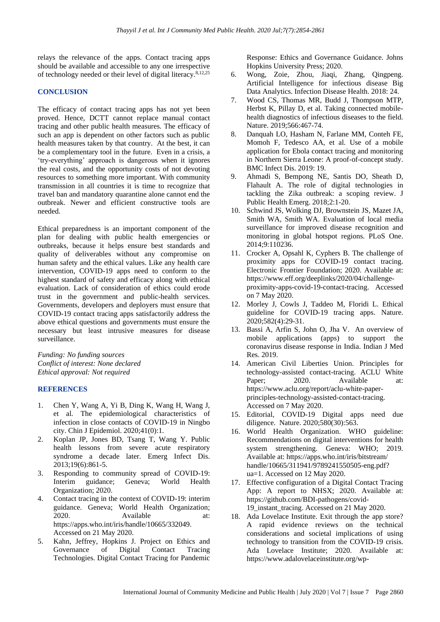relays the relevance of the apps. Contact tracing apps should be available and accessible to any one irrespective of technology needed or their level of digital literacy.<sup>8,12,25</sup>

#### **CONCLUSION**

The efficacy of contact tracing apps has not yet been proved. Hence, DCTT cannot replace manual contact tracing and other public health measures. The efficacy of such an app is dependent on other factors such as public health measures taken by that country. At the best, it can be a complementary tool in the future. Even in a crisis, a 'try-everything' approach is dangerous when it ignores the real costs, and the opportunity costs of not devoting resources to something more important. With community transmission in all countries it is time to recognize that travel ban and mandatory quarantine alone cannot end the outbreak. Newer and efficient constructive tools are needed.

Ethical preparedness is an important component of the plan for dealing with public health emergencies or outbreaks, because it helps ensure best standards and quality of deliverables without any compromise on human safety and the ethical values. Like any health care intervention, COVID-19 apps need to conform to the highest standard of safety and efficacy along with ethical evaluation. Lack of consideration of ethics could erode trust in the government and public-health services. Governments, developers and deployers must ensure that COVID-19 contact tracing apps satisfactorily address the above ethical questions and governments must ensure the necessary but least intrusive measures for disease surveillance.

*Funding: No funding sources Conflict of interest: None declared Ethical approval: Not required* 

## **REFERENCES**

- 1. Chen Y, Wang A, Yi B, Ding K, Wang H, Wang J, et al. The epidemiological characteristics of infection in close contacts of COVID-19 in Ningbo city. Chin J Epidemiol. 2020;41(0):1.
- 2. Koplan JP, Jones BD, Tsang T, Wang Y. Public health lessons from severe acute respiratory syndrome a decade later. Emerg Infect Dis. 2013;19(6):861-5.
- 3. Responding to community spread of COVID-19: Interim guidance; Geneva; World Health Organization; 2020.
- 4. Contact tracing in the context of COVID-19: interim guidance. Geneva; World Health Organization; 2020. Available at: https://apps.who.int/iris/handle/10665/332049. Accessed on 21 May 2020.
- 5. Kahn, Jeffrey, Hopkins J. Project on Ethics and Governance of Digital Contact Tracing Technologies. Digital Contact Tracing for Pandemic

Response: Ethics and Governance Guidance. Johns Hopkins University Press; 2020.

- 6. Wong, Zoie, Zhou, Jiaqi, Zhang, Qingpeng. Artificial Intelligence for infectious disease Big Data Analytics. Infection Disease Health. 2018: 24.
- 7. Wood CS, Thomas MR, Budd J, Thompson MTP, Herbst K, Pillay D, et al. Taking connected mobilehealth diagnostics of infectious diseases to the field. Nature. 2019;566:467-74.
- 8. Danquah LO, Hasham N, Farlane MM, Conteh FE, Momoh F, Tedesco AA, et al. Use of a mobile application for Ebola contact tracing and monitoring in Northern Sierra Leone: A proof-of-concept study. BMC Infect Dis. 2019: 19.
- 9. Ahmadi S, Bempong NE, Santis DO, Sheath D, Flahault A. The role of digital technologies in tackling the Zika outbreak: a scoping review. J Public Health Emerg. 2018;2:1-20.
- 10. Schwind JS, Wolking DJ, Brownstein JS, Mazet JA, Smith WA, Smith WA. Evaluation of local media surveillance for improved disease recognition and monitoring in global hotspot regions. PLoS One. 2014;9:110236.
- 11. Crocker A, Opsahl K, Cyphers B. The challenge of proximity apps for COVID-19 contact tracing. Electronic Frontier Foundation; 2020. Available at: https://www.eff.org/deeplinks/2020/04/challengeproximity-apps-covid-19-contact-tracing. Accessed on 7 May 2020.
- 12. Morley J, Cowls J, Taddeo M, Floridi L. Ethical guideline for COVID-19 tracing apps. Nature. 2020;582(4):29-31.
- 13. Bassi A, Arfin S, John O, Jha V. An overview of mobile applications (apps) to support the coronavirus disease response in India. Indian J Med Res. 2019.
- 14. American Civil Liberties Union. Principles for technology-assisted contact-tracing. ACLU White Paper; 2020. Available at: https://www.aclu.org/report/aclu-white-paperprinciples-technology-assisted-contact-tracing. Accessed on 7 May 2020.
- 15. Editorial, COVID-19 Digital apps need due diligence. Nature. 2020;580(30):563.
- 16. World Health Organization. WHO guideline: Recommendations on digital interventions for health system strengthening. Geneva: WHO; 2019. Available at: https://apps.who.int/iris/bitstream/ handle/10665/311941/9789241550505-eng.pdf? ua=1. Accessed on 12 May 2020.
- 17. Effective configuration of a Digital Contact Tracing App: A report to NHSX; 2020. Available at: https://github.com/BDI-pathogens/covid-19 instant tracing. Accessed on 21 May 2020.
- 18. Ada Lovelace Institute. Exit through the app store? A rapid evidence reviews on the technical considerations and societal implications of using technology to transition from the COVID-19 crisis. Ada Lovelace Institute; 2020. Available at: https://www.adalovelaceinstitute.org/wp-